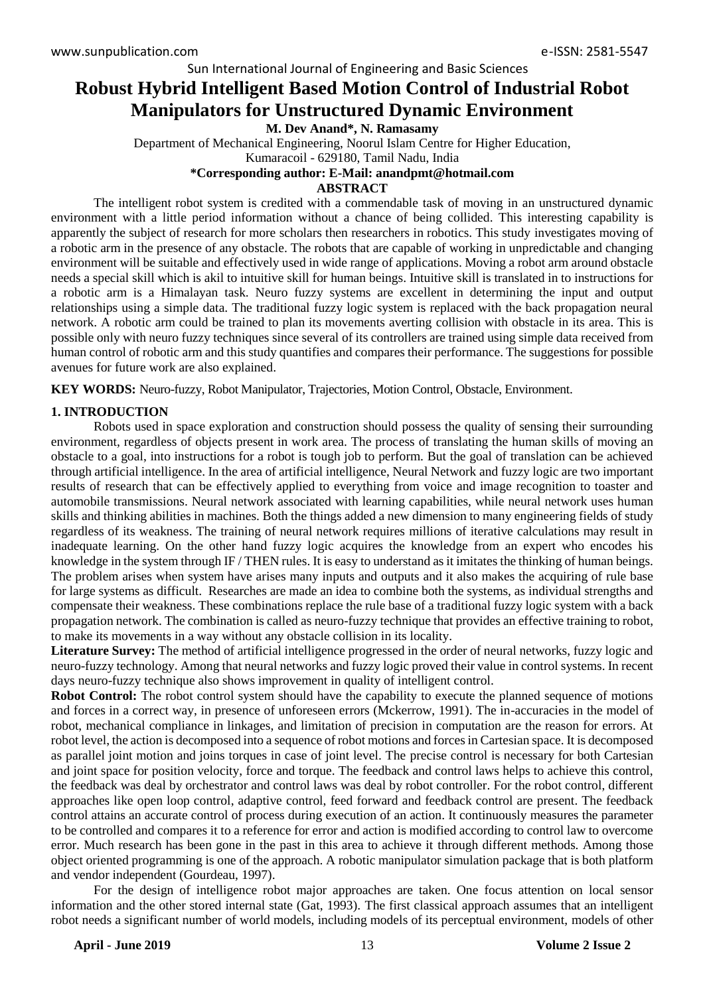# **Robust Hybrid Intelligent Based Motion Control of Industrial Robot Manipulators for Unstructured Dynamic Environment**

**M. Dev Anand\*, N. Ramasamy**

Department of Mechanical Engineering, Noorul Islam Centre for Higher Education, Kumaracoil - 629180, Tamil Nadu, India

# **\*Corresponding author: E-Mail: anandpmt@hotmail.com**

## **ABSTRACT**

The intelligent robot system is credited with a commendable task of moving in an unstructured dynamic environment with a little period information without a chance of being collided. This interesting capability is apparently the subject of research for more scholars then researchers in robotics. This study investigates moving of a robotic arm in the presence of any obstacle. The robots that are capable of working in unpredictable and changing environment will be suitable and effectively used in wide range of applications. Moving a robot arm around obstacle needs a special skill which is akil to intuitive skill for human beings. Intuitive skill is translated in to instructions for a robotic arm is a Himalayan task. Neuro fuzzy systems are excellent in determining the input and output relationships using a simple data. The traditional fuzzy logic system is replaced with the back propagation neural network. A robotic arm could be trained to plan its movements averting collision with obstacle in its area. This is possible only with neuro fuzzy techniques since several of its controllers are trained using simple data received from human control of robotic arm and this study quantifies and compares their performance. The suggestions for possible avenues for future work are also explained.

**KEY WORDS:** Neuro-fuzzy, Robot Manipulator, Trajectories, Motion Control, Obstacle, Environment.

# **1. INTRODUCTION**

Robots used in space exploration and construction should possess the quality of sensing their surrounding environment, regardless of objects present in work area. The process of translating the human skills of moving an obstacle to a goal, into instructions for a robot is tough job to perform. But the goal of translation can be achieved through artificial intelligence. In the area of artificial intelligence, Neural Network and fuzzy logic are two important results of research that can be effectively applied to everything from voice and image recognition to toaster and automobile transmissions. Neural network associated with learning capabilities, while neural network uses human skills and thinking abilities in machines. Both the things added a new dimension to many engineering fields of study regardless of its weakness. The training of neural network requires millions of iterative calculations may result in inadequate learning. On the other hand fuzzy logic acquires the knowledge from an expert who encodes his knowledge in the system through IF / THEN rules. It is easy to understand as it imitates the thinking of human beings. The problem arises when system have arises many inputs and outputs and it also makes the acquiring of rule base for large systems as difficult. Researches are made an idea to combine both the systems, as individual strengths and compensate their weakness. These combinations replace the rule base of a traditional fuzzy logic system with a back propagation network. The combination is called as neuro-fuzzy technique that provides an effective training to robot, to make its movements in a way without any obstacle collision in its locality.

**Literature Survey:** The method of artificial intelligence progressed in the order of neural networks, fuzzy logic and neuro-fuzzy technology. Among that neural networks and fuzzy logic proved their value in control systems. In recent days neuro-fuzzy technique also shows improvement in quality of intelligent control.

**Robot Control:** The robot control system should have the capability to execute the planned sequence of motions and forces in a correct way, in presence of unforeseen errors (Mckerrow, 1991). The in-accuracies in the model of robot, mechanical compliance in linkages, and limitation of precision in computation are the reason for errors. At robot level, the action is decomposed into a sequence of robot motions and forces in Cartesian space. It is decomposed as parallel joint motion and joins torques in case of joint level. The precise control is necessary for both Cartesian and joint space for position velocity, force and torque. The feedback and control laws helps to achieve this control, the feedback was deal by orchestrator and control laws was deal by robot controller. For the robot control, different approaches like open loop control, adaptive control, feed forward and feedback control are present. The feedback control attains an accurate control of process during execution of an action. It continuously measures the parameter to be controlled and compares it to a reference for error and action is modified according to control law to overcome error. Much research has been gone in the past in this area to achieve it through different methods. Among those object oriented programming is one of the approach. A robotic manipulator simulation package that is both platform and vendor independent (Gourdeau, 1997).

For the design of intelligence robot major approaches are taken. One focus attention on local sensor information and the other stored internal state (Gat, 1993). The first classical approach assumes that an intelligent robot needs a significant number of world models, including models of its perceptual environment, models of other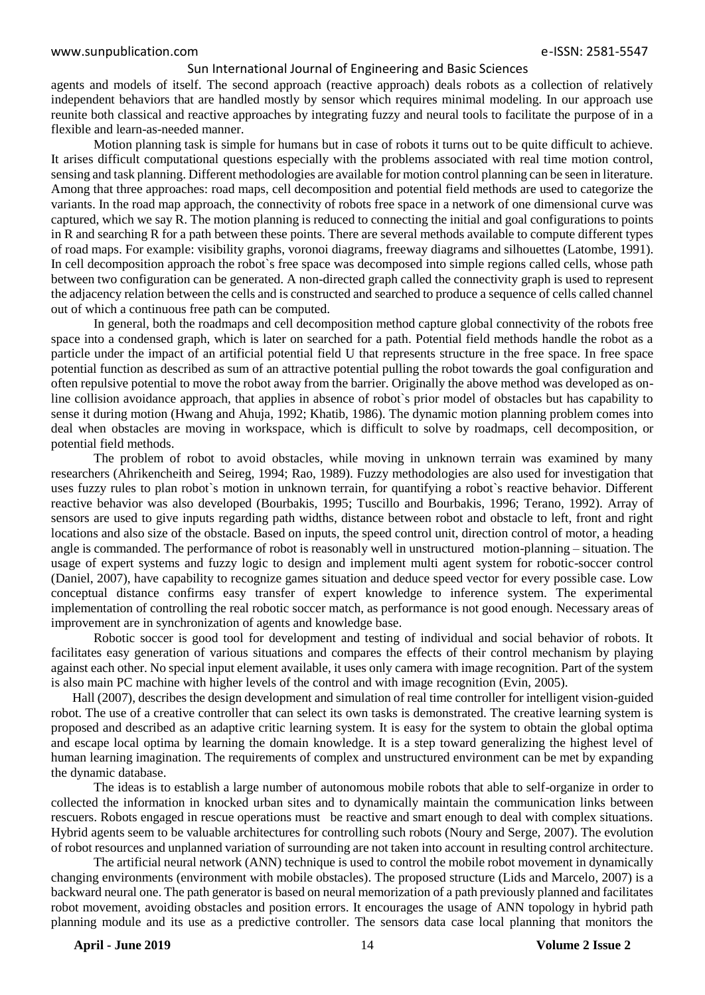agents and models of itself. The second approach (reactive approach) deals robots as a collection of relatively independent behaviors that are handled mostly by sensor which requires minimal modeling. In our approach use reunite both classical and reactive approaches by integrating fuzzy and neural tools to facilitate the purpose of in a flexible and learn-as-needed manner.

Motion planning task is simple for humans but in case of robots it turns out to be quite difficult to achieve. It arises difficult computational questions especially with the problems associated with real time motion control, sensing and task planning. Different methodologies are available for motion control planning can be seen in literature. Among that three approaches: road maps, cell decomposition and potential field methods are used to categorize the variants. In the road map approach, the connectivity of robots free space in a network of one dimensional curve was captured, which we say R. The motion planning is reduced to connecting the initial and goal configurations to points in R and searching R for a path between these points. There are several methods available to compute different types of road maps. For example: visibility graphs, voronoi diagrams, freeway diagrams and silhouettes (Latombe, 1991). In cell decomposition approach the robot`s free space was decomposed into simple regions called cells, whose path between two configuration can be generated. A non-directed graph called the connectivity graph is used to represent the adjacency relation between the cells and is constructed and searched to produce a sequence of cells called channel out of which a continuous free path can be computed.

In general, both the roadmaps and cell decomposition method capture global connectivity of the robots free space into a condensed graph, which is later on searched for a path. Potential field methods handle the robot as a particle under the impact of an artificial potential field U that represents structure in the free space. In free space potential function as described as sum of an attractive potential pulling the robot towards the goal configuration and often repulsive potential to move the robot away from the barrier. Originally the above method was developed as online collision avoidance approach, that applies in absence of robot`s prior model of obstacles but has capability to sense it during motion (Hwang and Ahuja, 1992; Khatib, 1986). The dynamic motion planning problem comes into deal when obstacles are moving in workspace, which is difficult to solve by roadmaps, cell decomposition, or potential field methods.

The problem of robot to avoid obstacles, while moving in unknown terrain was examined by many researchers (Ahrikencheith and Seireg, 1994; Rao, 1989). Fuzzy methodologies are also used for investigation that uses fuzzy rules to plan robot`s motion in unknown terrain, for quantifying a robot`s reactive behavior. Different reactive behavior was also developed (Bourbakis, 1995; Tuscillo and Bourbakis, 1996; Terano, 1992). Array of sensors are used to give inputs regarding path widths, distance between robot and obstacle to left, front and right locations and also size of the obstacle. Based on inputs, the speed control unit, direction control of motor, a heading angle is commanded. The performance of robot is reasonably well in unstructured motion-planning – situation. The usage of expert systems and fuzzy logic to design and implement multi agent system for robotic-soccer control (Daniel, 2007), have capability to recognize games situation and deduce speed vector for every possible case. Low conceptual distance confirms easy transfer of expert knowledge to inference system. The experimental implementation of controlling the real robotic soccer match, as performance is not good enough. Necessary areas of improvement are in synchronization of agents and knowledge base.

Robotic soccer is good tool for development and testing of individual and social behavior of robots. It facilitates easy generation of various situations and compares the effects of their control mechanism by playing against each other. No special input element available, it uses only camera with image recognition. Part of the system is also main PC machine with higher levels of the control and with image recognition (Evin, 2005).

Hall (2007), describes the design development and simulation of real time controller for intelligent vision-guided robot. The use of a creative controller that can select its own tasks is demonstrated. The creative learning system is proposed and described as an adaptive critic learning system. It is easy for the system to obtain the global optima and escape local optima by learning the domain knowledge. It is a step toward generalizing the highest level of human learning imagination. The requirements of complex and unstructured environment can be met by expanding the dynamic database.

The ideas is to establish a large number of autonomous mobile robots that able to self-organize in order to collected the information in knocked urban sites and to dynamically maintain the communication links between rescuers. Robots engaged in rescue operations must be reactive and smart enough to deal with complex situations. Hybrid agents seem to be valuable architectures for controlling such robots (Noury and Serge, 2007). The evolution of robot resources and unplanned variation of surrounding are not taken into account in resulting control architecture.

The artificial neural network (ANN) technique is used to control the mobile robot movement in dynamically changing environments (environment with mobile obstacles). The proposed structure (Lids and Marcelo, 2007) is a backward neural one. The path generator is based on neural memorization of a path previously planned and facilitates robot movement, avoiding obstacles and position errors. It encourages the usage of ANN topology in hybrid path planning module and its use as a predictive controller. The sensors data case local planning that monitors the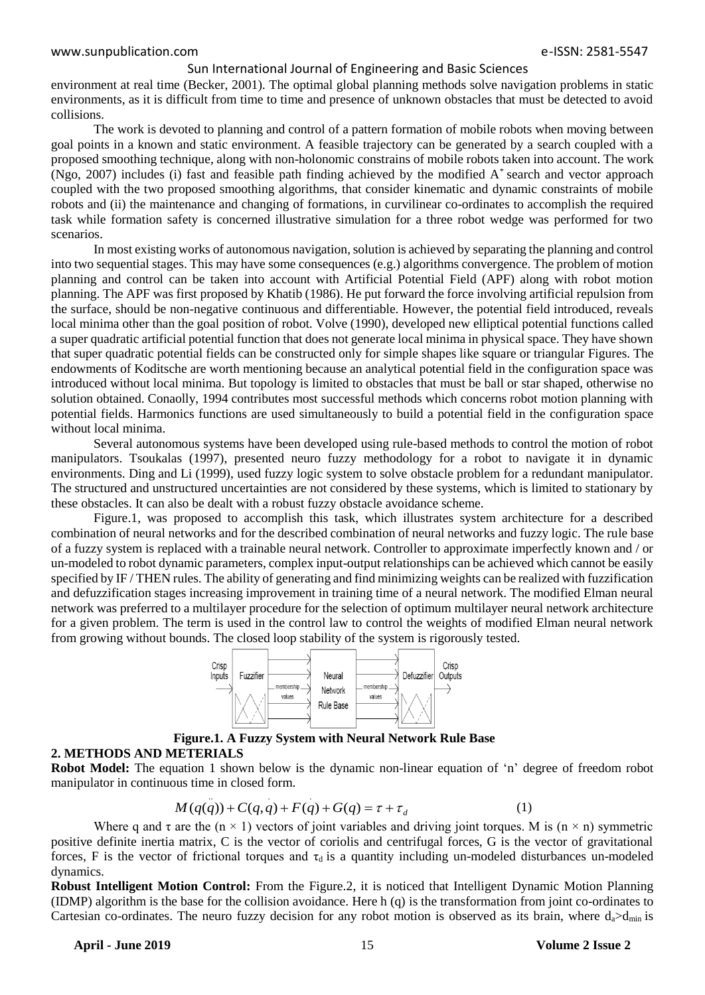environment at real time (Becker, 2001). The optimal global planning methods solve navigation problems in static environments, as it is difficult from time to time and presence of unknown obstacles that must be detected to avoid collisions.

The work is devoted to planning and control of a pattern formation of mobile robots when moving between goal points in a known and static environment. A feasible trajectory can be generated by a search coupled with a proposed smoothing technique, along with non-holonomic constrains of mobile robots taken into account. The work (Ngo, 2007) includes (i) fast and feasible path finding achieved by the modified A\* search and vector approach coupled with the two proposed smoothing algorithms, that consider kinematic and dynamic constraints of mobile robots and (ii) the maintenance and changing of formations, in curvilinear co-ordinates to accomplish the required task while formation safety is concerned illustrative simulation for a three robot wedge was performed for two scenarios.

In most existing works of autonomous navigation, solution is achieved by separating the planning and control into two sequential stages. This may have some consequences (e.g.) algorithms convergence. The problem of motion planning and control can be taken into account with Artificial Potential Field (APF) along with robot motion planning. The APF was first proposed by Khatib (1986). He put forward the force involving artificial repulsion from the surface, should be non-negative continuous and differentiable. However, the potential field introduced, reveals local minima other than the goal position of robot. Volve (1990), developed new elliptical potential functions called a super quadratic artificial potential function that does not generate local minima in physical space. They have shown that super quadratic potential fields can be constructed only for simple shapes like square or triangular Figures. The endowments of Koditsche are worth mentioning because an analytical potential field in the configuration space was introduced without local minima. But topology is limited to obstacles that must be ball or star shaped, otherwise no solution obtained. Conaolly, 1994 contributes most successful methods which concerns robot motion planning with potential fields. Harmonics functions are used simultaneously to build a potential field in the configuration space without local minima.

Several autonomous systems have been developed using rule-based methods to control the motion of robot manipulators. Tsoukalas (1997), presented neuro fuzzy methodology for a robot to navigate it in dynamic environments. Ding and Li (1999), used fuzzy logic system to solve obstacle problem for a redundant manipulator. The structured and unstructured uncertainties are not considered by these systems, which is limited to stationary by these obstacles. It can also be dealt with a robust fuzzy obstacle avoidance scheme.

Figure.1, was proposed to accomplish this task, which illustrates system architecture for a described combination of neural networks and for the described combination of neural networks and fuzzy logic. The rule base of a fuzzy system is replaced with a trainable neural network. Controller to approximate imperfectly known and / or un-modeled to robot dynamic parameters, complex input-output relationships can be achieved which cannot be easily specified by IF / THEN rules. The ability of generating and find minimizing weights can be realized with fuzzification and defuzzification stages increasing improvement in training time of a neural network. The modified Elman neural network was preferred to a multilayer procedure for the selection of optimum multilayer neural network architecture for a given problem. The term is used in the control law to control the weights of modified Elman neural network from growing without bounds. The closed loop stability of the system is rigorously tested.



# **Figure.1. A Fuzzy System with Neural Network Rule Base**

### **2. METHODS AND METERIALS**

**Robot Model:** The equation 1 shown below is the dynamic non-linear equation of 'n' degree of freedom robot manipulator in continuous time in closed form.

$$
M(q(q)) + C(q,q) + F(q) + G(q) = \tau + \tau_d \tag{1}
$$

Where q and  $\tau$  are the (n  $\times$  1) vectors of joint variables and driving joint torques. M is (n  $\times$  n) symmetric positive definite inertia matrix, C is the vector of coriolis and centrifugal forces, G is the vector of gravitational forces, F is the vector of frictional torques and  $\tau_d$  is a quantity including un-modeled disturbances un-modeled dynamics.

**Robust Intelligent Motion Control:** From the Figure.2, it is noticed that Intelligent Dynamic Motion Planning (IDMP) algorithm is the base for the collision avoidance. Here h (q) is the transformation from joint co-ordinates to Cartesian co-ordinates. The neuro fuzzy decision for any robot motion is observed as its brain, where  $d_a > d_{min}$  is

#### **April - June 2019** 15 **Volume 2 Issue 2**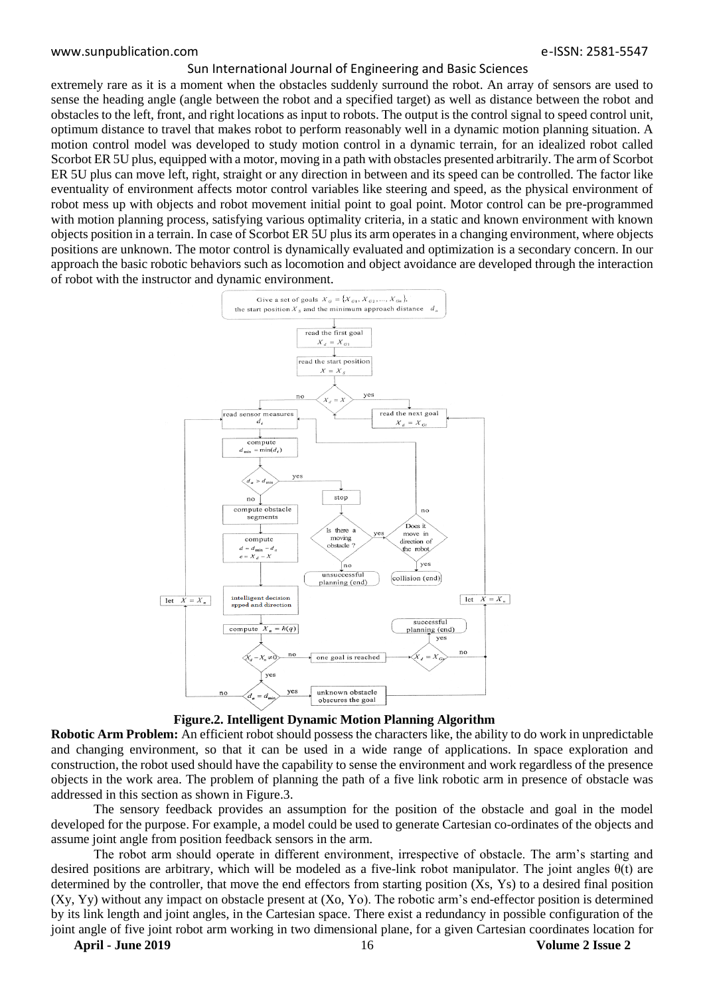extremely rare as it is a moment when the obstacles suddenly surround the robot. An array of sensors are used to sense the heading angle (angle between the robot and a specified target) as well as distance between the robot and obstacles to the left, front, and right locations as input to robots. The output is the control signal to speed control unit, optimum distance to travel that makes robot to perform reasonably well in a dynamic motion planning situation. A motion control model was developed to study motion control in a dynamic terrain, for an idealized robot called Scorbot ER 5U plus, equipped with a motor, moving in a path with obstacles presented arbitrarily. The arm of Scorbot ER 5U plus can move left, right, straight or any direction in between and its speed can be controlled. The factor like eventuality of environment affects motor control variables like steering and speed, as the physical environment of robot mess up with objects and robot movement initial point to goal point. Motor control can be pre-programmed with motion planning process, satisfying various optimality criteria, in a static and known environment with known objects position in a terrain. In case of Scorbot ER 5U plus its arm operates in a changing environment, where objects positions are unknown. The motor control is dynamically evaluated and optimization is a secondary concern. In our approach the basic robotic behaviors such as locomotion and object avoidance are developed through the interaction of robot with the instructor and dynamic environment.



**Figure.2. Intelligent Dynamic Motion Planning Algorithm**

**Robotic Arm Problem:** An efficient robot should possess the characters like, the ability to do work in unpredictable and changing environment, so that it can be used in a wide range of applications. In space exploration and construction, the robot used should have the capability to sense the environment and work regardless of the presence objects in the work area. The problem of planning the path of a five link robotic arm in presence of obstacle was addressed in this section as shown in Figure.3.

The sensory feedback provides an assumption for the position of the obstacle and goal in the model developed for the purpose. For example, a model could be used to generate Cartesian co-ordinates of the objects and assume joint angle from position feedback sensors in the arm.

The robot arm should operate in different environment, irrespective of obstacle. The arm's starting and desired positions are arbitrary, which will be modeled as a five-link robot manipulator. The joint angles θ(t) are determined by the controller, that move the end effectors from starting position (Xs, Ys) to a desired final position (Xy, Yy) without any impact on obstacle present at (Xo, Yo). The robotic arm's end-effector position is determined by its link length and joint angles, in the Cartesian space. There exist a redundancy in possible configuration of the joint angle of five joint robot arm working in two dimensional plane, for a given Cartesian coordinates location for

**April - June 2019** 16 **Volume 2 Issue 2**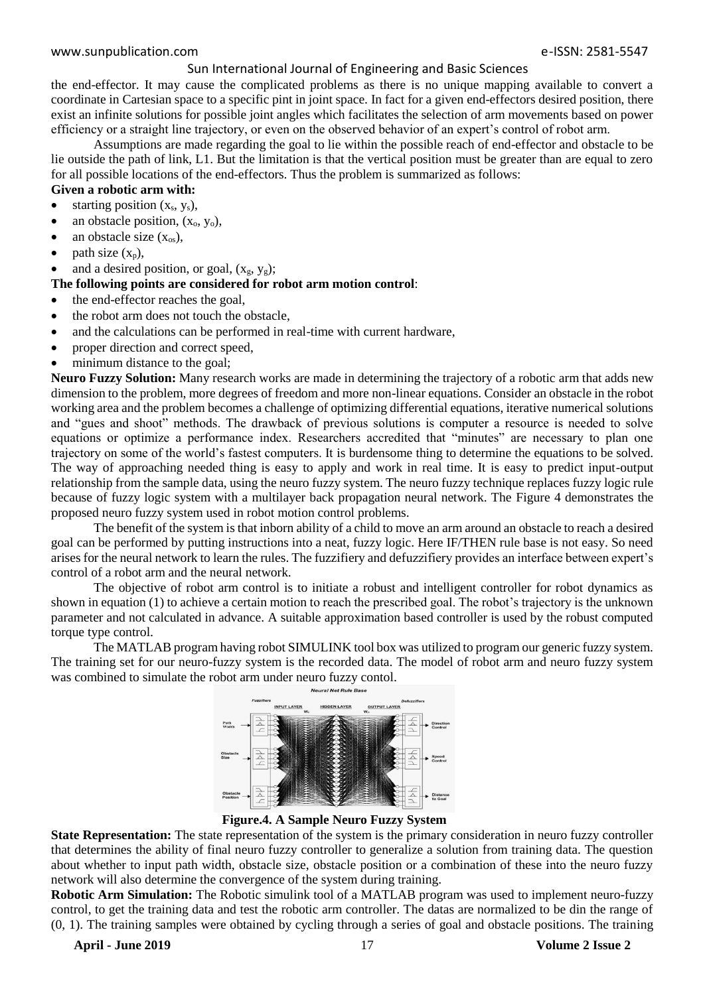the end-effector. It may cause the complicated problems as there is no unique mapping available to convert a coordinate in Cartesian space to a specific pint in joint space. In fact for a given end-effectors desired position, there exist an infinite solutions for possible joint angles which facilitates the selection of arm movements based on power efficiency or a straight line trajectory, or even on the observed behavior of an expert's control of robot arm.

Assumptions are made regarding the goal to lie within the possible reach of end-effector and obstacle to be lie outside the path of link, L1. But the limitation is that the vertical position must be greater than are equal to zero for all possible locations of the end-effectors. Thus the problem is summarized as follows:

# **Given a robotic arm with:**

- starting position  $(x_s, y_s)$ ,
- an obstacle position,  $(x_0, y_0)$ ,
- $\bullet$  an obstacle size  $(x_{os})$ ,
- path size  $(x_n)$ ,

and a desired position, or goal,  $(x_g, y_g)$ ;

#### **The following points are considered for robot arm motion control**:

- the end-effector reaches the goal,
- the robot arm does not touch the obstacle,
- and the calculations can be performed in real-time with current hardware,
- proper direction and correct speed,
- minimum distance to the goal;

**Neuro Fuzzy Solution:** Many research works are made in determining the trajectory of a robotic arm that adds new dimension to the problem, more degrees of freedom and more non-linear equations. Consider an obstacle in the robot working area and the problem becomes a challenge of optimizing differential equations, iterative numerical solutions and "gues and shoot" methods. The drawback of previous solutions is computer a resource is needed to solve equations or optimize a performance index. Researchers accredited that "minutes" are necessary to plan one trajectory on some of the world's fastest computers. It is burdensome thing to determine the equations to be solved. The way of approaching needed thing is easy to apply and work in real time. It is easy to predict input-output relationship from the sample data, using the neuro fuzzy system. The neuro fuzzy technique replaces fuzzy logic rule because of fuzzy logic system with a multilayer back propagation neural network. The Figure 4 demonstrates the proposed neuro fuzzy system used in robot motion control problems.

The benefit of the system is that inborn ability of a child to move an arm around an obstacle to reach a desired goal can be performed by putting instructions into a neat, fuzzy logic. Here IF/THEN rule base is not easy. So need arises for the neural network to learn the rules. The fuzzifiery and defuzzifiery provides an interface between expert's control of a robot arm and the neural network.

The objective of robot arm control is to initiate a robust and intelligent controller for robot dynamics as shown in equation (1) to achieve a certain motion to reach the prescribed goal. The robot's trajectory is the unknown parameter and not calculated in advance. A suitable approximation based controller is used by the robust computed torque type control.

The MATLAB program having robot SIMULINK tool box was utilized to program our generic fuzzy system. The training set for our neuro-fuzzy system is the recorded data. The model of robot arm and neuro fuzzy system was combined to simulate the robot arm under neuro fuzzy contol.<br>Neural Net Rule Base





**State Representation:** The state representation of the system is the primary consideration in neuro fuzzy controller that determines the ability of final neuro fuzzy controller to generalize a solution from training data. The question about whether to input path width, obstacle size, obstacle position or a combination of these into the neuro fuzzy network will also determine the convergence of the system during training.

**Robotic Arm Simulation:** The Robotic simulink tool of a MATLAB program was used to implement neuro-fuzzy control, to get the training data and test the robotic arm controller. The datas are normalized to be din the range of (0, 1). The training samples were obtained by cycling through a series of goal and obstacle positions. The training

**April - June 2019** 17 **Volume 2 Issue 2**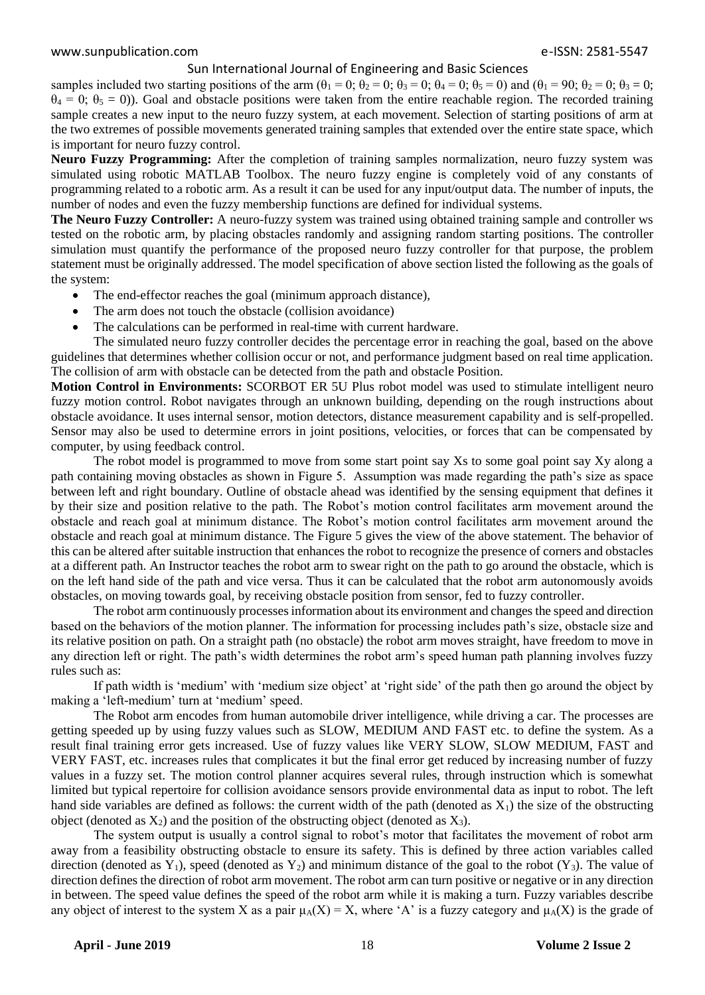samples included two starting positions of the arm  $(\theta_1 = 0; \theta_2 = 0; \theta_3 = 0; \theta_4 = 0; \theta_5 = 0)$  and  $(\theta_1 = 90; \theta_2 = 0; \theta_3 = 0; \theta_4 = 0; \theta_5 = 0)$  $\theta_4 = 0$ ;  $\theta_5 = 0$ )). Goal and obstacle positions were taken from the entire reachable region. The recorded training sample creates a new input to the neuro fuzzy system, at each movement. Selection of starting positions of arm at the two extremes of possible movements generated training samples that extended over the entire state space, which is important for neuro fuzzy control.

**Neuro Fuzzy Programming:** After the completion of training samples normalization, neuro fuzzy system was simulated using robotic MATLAB Toolbox. The neuro fuzzy engine is completely void of any constants of programming related to a robotic arm. As a result it can be used for any input/output data. The number of inputs, the number of nodes and even the fuzzy membership functions are defined for individual systems.

**The Neuro Fuzzy Controller:** A neuro-fuzzy system was trained using obtained training sample and controller ws tested on the robotic arm, by placing obstacles randomly and assigning random starting positions. The controller simulation must quantify the performance of the proposed neuro fuzzy controller for that purpose, the problem statement must be originally addressed. The model specification of above section listed the following as the goals of the system:

- The end-effector reaches the goal (minimum approach distance),
- The arm does not touch the obstacle (collision avoidance)
- The calculations can be performed in real-time with current hardware.

The simulated neuro fuzzy controller decides the percentage error in reaching the goal, based on the above guidelines that determines whether collision occur or not, and performance judgment based on real time application. The collision of arm with obstacle can be detected from the path and obstacle Position.

**Motion Control in Environments:** SCORBOT ER 5U Plus robot model was used to stimulate intelligent neuro fuzzy motion control. Robot navigates through an unknown building, depending on the rough instructions about obstacle avoidance. It uses internal sensor, motion detectors, distance measurement capability and is self-propelled. Sensor may also be used to determine errors in joint positions, velocities, or forces that can be compensated by computer, by using feedback control.

The robot model is programmed to move from some start point say Xs to some goal point say Xy along a path containing moving obstacles as shown in Figure 5. Assumption was made regarding the path's size as space between left and right boundary. Outline of obstacle ahead was identified by the sensing equipment that defines it by their size and position relative to the path. The Robot's motion control facilitates arm movement around the obstacle and reach goal at minimum distance. The Robot's motion control facilitates arm movement around the obstacle and reach goal at minimum distance. The Figure 5 gives the view of the above statement. The behavior of this can be altered after suitable instruction that enhances the robot to recognize the presence of corners and obstacles at a different path. An Instructor teaches the robot arm to swear right on the path to go around the obstacle, which is on the left hand side of the path and vice versa. Thus it can be calculated that the robot arm autonomously avoids obstacles, on moving towards goal, by receiving obstacle position from sensor, fed to fuzzy controller.

The robot arm continuously processes information about its environment and changes the speed and direction based on the behaviors of the motion planner. The information for processing includes path's size, obstacle size and its relative position on path. On a straight path (no obstacle) the robot arm moves straight, have freedom to move in any direction left or right. The path's width determines the robot arm's speed human path planning involves fuzzy rules such as:

If path width is 'medium' with 'medium size object' at 'right side' of the path then go around the object by making a 'left-medium' turn at 'medium' speed.

The Robot arm encodes from human automobile driver intelligence, while driving a car. The processes are getting speeded up by using fuzzy values such as SLOW, MEDIUM AND FAST etc. to define the system. As a result final training error gets increased. Use of fuzzy values like VERY SLOW, SLOW MEDIUM, FAST and VERY FAST, etc. increases rules that complicates it but the final error get reduced by increasing number of fuzzy values in a fuzzy set. The motion control planner acquires several rules, through instruction which is somewhat limited but typical repertoire for collision avoidance sensors provide environmental data as input to robot. The left hand side variables are defined as follows: the current width of the path (denoted as  $X_1$ ) the size of the obstructing object (denoted as  $X_2$ ) and the position of the obstructing object (denoted as  $X_3$ ).

The system output is usually a control signal to robot's motor that facilitates the movement of robot arm away from a feasibility obstructing obstacle to ensure its safety. This is defined by three action variables called direction (denoted as  $Y_1$ ), speed (denoted as  $Y_2$ ) and minimum distance of the goal to the robot  $(Y_3)$ . The value of direction defines the direction of robot arm movement. The robot arm can turn positive or negative or in any direction in between. The speed value defines the speed of the robot arm while it is making a turn. Fuzzy variables describe any object of interest to the system X as a pair  $\mu_A(X) = X$ , where 'A' is a fuzzy category and  $\mu_A(X)$  is the grade of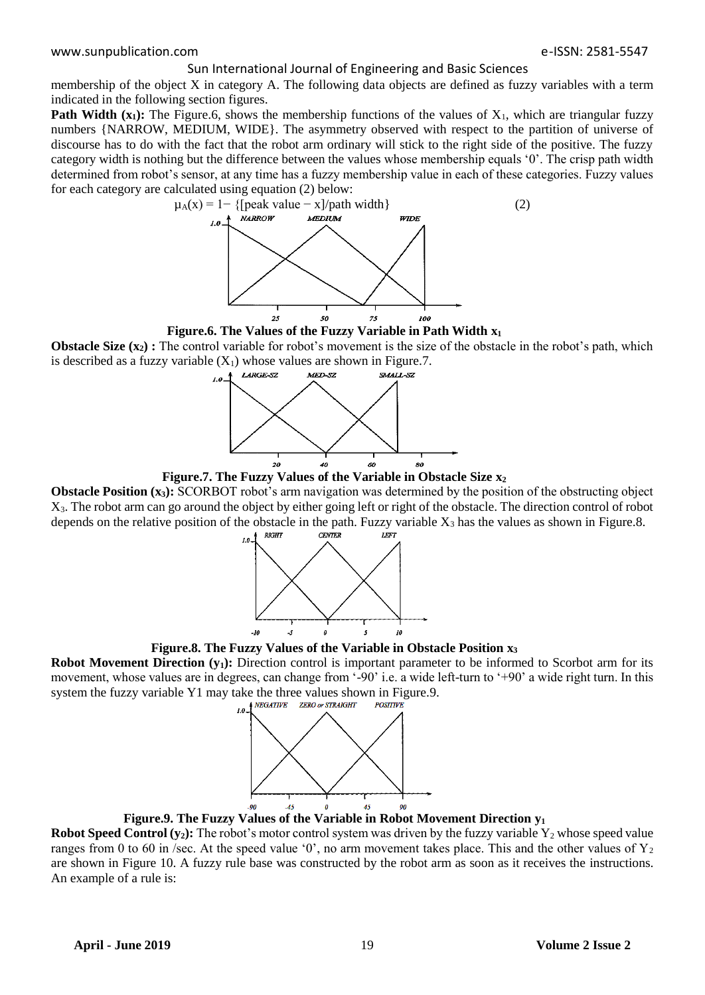membership of the object X in category A. The following data objects are defined as fuzzy variables with a term indicated in the following section figures.

**Path Width**  $(x_1)$ **: The Figure.6, shows the membership functions of the values of**  $X_1$ **, which are triangular fuzzy** numbers {NARROW, MEDIUM, WIDE}. The asymmetry observed with respect to the partition of universe of discourse has to do with the fact that the robot arm ordinary will stick to the right side of the positive. The fuzzy category width is nothing but the difference between the values whose membership equals '0'. The crisp path width determined from robot's sensor, at any time has a fuzzy membership value in each of these categories. Fuzzy values for each category are calculated using equation (2) below:



**Figure.6. The Values of the Fuzzy Variable in Path Width x<sup>1</sup>**

**Obstacle Size**  $(x_2)$ **: The control variable for robot's movement is the size of the obstacle in the robot's path, which** is described as a fuzzy variable  $(X_1)$  whose values are shown in Figure.7.<br>A LARGE-SZ MED-SZ SMALL-SZ



**Figure.7. The Fuzzy Values of the Variable in Obstacle Size x<sup>2</sup>**

**Obstacle Position (x<sub>3</sub>):** SCORBOT robot's arm navigation was determined by the position of the obstructing object X3. The robot arm can go around the object by either going left or right of the obstacle. The direction control of robot depends on the relative position of the obstacle in the path. Fuzzy variable  $X_3$  has the values as shown in Figure.8.





**Robot Movement Direction (y<sub>1</sub>):** Direction control is important parameter to be informed to Scorbot arm for its movement, whose values are in degrees, can change from '-90' i.e. a wide left-turn to '+90' a wide right turn. In this system the fuzzy variable Y1 may take the three values shown in Figure.9.<br> $\frac{1}{10}$ <sup>NEGATIVE</sup> ZERO or STRAIGHT POSITIVE



**Figure.9. The Fuzzy Values of the Variable in Robot Movement Direction y<sup>1</sup>**

**Robot Speed Control**  $(y_2)$ **: The robot's motor control system was driven by the fuzzy variable**  $Y_2$  **whose speed value** ranges from 0 to 60 in /sec. At the speed value '0', no arm movement takes place. This and the other values of  $Y_2$ are shown in Figure 10. A fuzzy rule base was constructed by the robot arm as soon as it receives the instructions. An example of a rule is: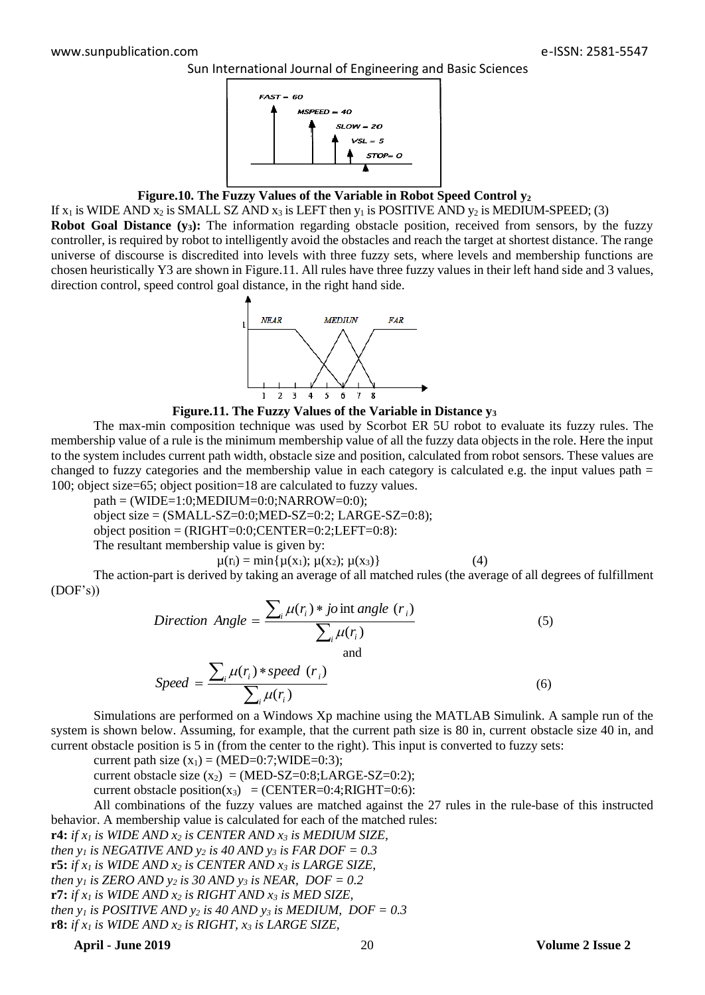

# **Figure.10. The Fuzzy Values of the Variable in Robot Speed Control y<sup>2</sup>**

If  $x_1$  is WIDE AND  $x_2$  is SMALL SZ AND  $x_3$  is LEFT then  $y_1$  is POSITIVE AND  $y_2$  is MEDIUM-SPEED; (3) **Robot Goal Distance (y<sub>3</sub>):** The information regarding obstacle position, received from sensors, by the fuzzy controller, is required by robot to intelligently avoid the obstacles and reach the target at shortest distance. The range universe of discourse is discredited into levels with three fuzzy sets, where levels and membership functions are chosen heuristically Y3 are shown in Figure.11. All rules have three fuzzy values in their left hand side and 3 values,



#### **Figure.11. The Fuzzy Values of the Variable in Distance y<sup>3</sup>**

The max-min composition technique was used by Scorbot ER 5U robot to evaluate its fuzzy rules. The membership value of a rule is the minimum membership value of all the fuzzy data objects in the role. Here the input to the system includes current path width, obstacle size and position, calculated from robot sensors. These values are changed to fuzzy categories and the membership value in each category is calculated e.g. the input values path  $=$ 100; object size=65; object position=18 are calculated to fuzzy values.

 $path = (WIDE=1:0; MEDIUM=0:0;NARROW=0:0);$ 

object size =  $(SMALL-SZ=0:0; MED-SZ=0:2; LARGE-SZ=0:8);$ 

object position =  $(RIGHT=0:0; CENTER=0:2; LEFT=0:8)$ :

The resultant membership value is given by:

$$
\mu(r_i) = \min\{\mu(x_1); \mu(x_2); \mu(x_3)\}\tag{4}
$$

The action-part is derived by taking an average of all matched rules (the average of all degrees of fulfillment (DOF's))

*Direction Angle* = 
$$
\frac{\sum_{i} \mu(r_i) * j \text{oint angle } (r_i)}{\sum_{i} \mu(r_i)}
$$
 (5)

$$
Speed = \frac{\sum_{i} \mu(r_i) * speed(r_i)}{\sum_{i} \mu(r_i)}
$$
\n(6)

Simulations are performed on a Windows Xp machine using the MATLAB Simulink. A sample run of the system is shown below. Assuming, for example, that the current path size is 80 in, current obstacle size 40 in, and current obstacle position is 5 in (from the center to the right). This input is converted to fuzzy sets:

current path size  $(x_1) = (MED=0:7;WIDE=0:3);$ 

current obstacle size  $(x_2) = (MED-SZ=0:8; LARGE-SZ=0:2);$ 

current obstacle position(x<sub>3</sub>) = (CENTER=0:4;RIGHT=0:6):

All combinations of the fuzzy values are matched against the 27 rules in the rule-base of this instructed behavior. A membership value is calculated for each of the matched rules:

**r4:** *if x<sup>1</sup> is WIDE AND x<sup>2</sup> is CENTER AND x<sup>3</sup> is MEDIUM SIZE, then y<sub>1</sub> is NEGATIVE AND y<sub>2</sub></sub> <i>is 40 AND y<sub>3</sub></sub> <i>is FAR DOF* = 0.3 **r5:** *if x<sup>1</sup> is WIDE AND x<sup>2</sup> is CENTER AND x<sup>3</sup> is LARGE SIZE, then y<sub>1</sub> is ZERO AND y<sub>2</sub> is 30 AND y<sub>3</sub></sub> <i>is NEAR, DOF* = 0.2 **r7:** *if x<sup>1</sup> is WIDE AND x<sup>2</sup> is RIGHT AND x<sup>3</sup> is MED SIZE, then y<sub>1</sub> is POSITIVE AND y<sub>2</sub> is 40 AND y<sub>3</sub></sub> <i>is MEDIUM, DOF = 0.3* **r8:** *if x<sup>1</sup> is WIDE AND x<sup>2</sup> is RIGHT, x<sup>3</sup> is LARGE SIZE,*

**April - June 2019** 20 **Volume 2 Issue 2**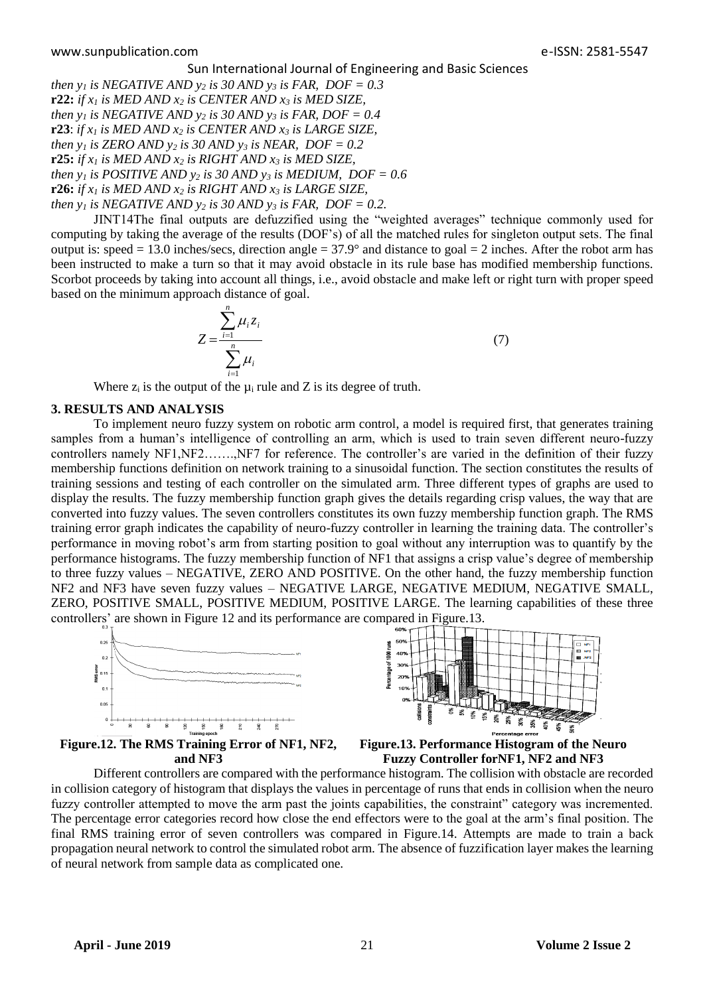*then y<sub>1</sub> is NEGATIVE AND y<sub>2</sub> <i>is 30 AND y<sub>3</sub></sub> <i>is FAR, DOF* = 0.3 **r22:** *if x<sup>1</sup> is MED AND x<sup>2</sup> is CENTER AND x<sup>3</sup> is MED SIZE, then y<sub>1</sub> is NEGATIVE AND y<sub>2</sub></sub> <i>is 30 AND y<sub>3</sub></sub> <i>is FAR, DOF* = 0.4 **r23**: *if x<sup>1</sup> is MED AND x<sup>2</sup> is CENTER AND x<sup>3</sup> is LARGE SIZE, then y<sub>1</sub> is ZERO AND y<sub>2</sub> is 30 AND y<sub>3</sub></sub> <i>is NEAR, DOF* = 0.2 **r25:** *if*  $x_1$  *is MED AND*  $x_2$  *is RIGHT AND*  $x_3$  *is MED SIZE*, *then y<sub>1</sub> is POSITIVE AND y<sub>2</sub> <i>is 30 AND y<sub>3</sub></sub> <i>is MEDIUM, DOF = 0.6* **r26:** *if*  $x_1$  *is MED AND*  $x_2$  *is RIGHT AND*  $x_3$  *is LARGE SIZE, then y<sub>1</sub> is NEGATIVE AND y<sub>2</sub> is 30 AND y<sub>3</sub></sub> <i>is FAR, DOF = 0.2.* 

JINT14The final outputs are defuzzified using the "weighted averages" technique commonly used for computing by taking the average of the results (DOF's) of all the matched rules for singleton output sets. The final output is: speed = 13.0 inches/secs, direction angle =  $37.9^{\circ}$  and distance to goal = 2 inches. After the robot arm has been instructed to make a turn so that it may avoid obstacle in its rule base has modified membership functions. Scorbot proceeds by taking into account all things, i.e., avoid obstacle and make left or right turn with proper speed based on the minimum approach distance of goal.

$$
Z = \frac{\sum_{i=1}^{n} \mu_i z_i}{\sum_{i=1}^{n} \mu_i}
$$
 (7)

Where  $z_i$  is the output of the  $\mu_i$  rule and Z is its degree of truth.

# **3. RESULTS AND ANALYSIS**

To implement neuro fuzzy system on robotic arm control, a model is required first, that generates training samples from a human's intelligence of controlling an arm, which is used to train seven different neuro-fuzzy controllers namely NF1,NF2…….,NF7 for reference. The controller's are varied in the definition of their fuzzy membership functions definition on network training to a sinusoidal function. The section constitutes the results of training sessions and testing of each controller on the simulated arm. Three different types of graphs are used to display the results. The fuzzy membership function graph gives the details regarding crisp values, the way that are converted into fuzzy values. The seven controllers constitutes its own fuzzy membership function graph. The RMS training error graph indicates the capability of neuro-fuzzy controller in learning the training data. The controller's performance in moving robot's arm from starting position to goal without any interruption was to quantify by the performance histograms. The fuzzy membership function of NF1 that assigns a crisp value's degree of membership to three fuzzy values – NEGATIVE, ZERO AND POSITIVE. On the other hand, the fuzzy membership function NF2 and NF3 have seven fuzzy values – NEGATIVE LARGE, NEGATIVE MEDIUM, NEGATIVE SMALL, ZERO, POSITIVE SMALL, POSITIVE MEDIUM, POSITIVE LARGE. The learning capabilities of these three controllers' are shown in Figure 12 and its performance are compared in Figure.13.





**Figure.12. The RMS Training Error of NF1, NF2, and NF3**

**Figure.13. Performance Histogram of the Neuro Fuzzy Controller forNF1, NF2 and NF3**

Different controllers are compared with the performance histogram. The collision with obstacle are recorded in collision category of histogram that displays the values in percentage of runs that ends in collision when the neuro fuzzy controller attempted to move the arm past the joints capabilities, the constraint" category was incremented. The percentage error categories record how close the end effectors were to the goal at the arm's final position. The final RMS training error of seven controllers was compared in Figure.14. Attempts are made to train a back propagation neural network to control the simulated robot arm. The absence of fuzzification layer makes the learning of neural network from sample data as complicated one.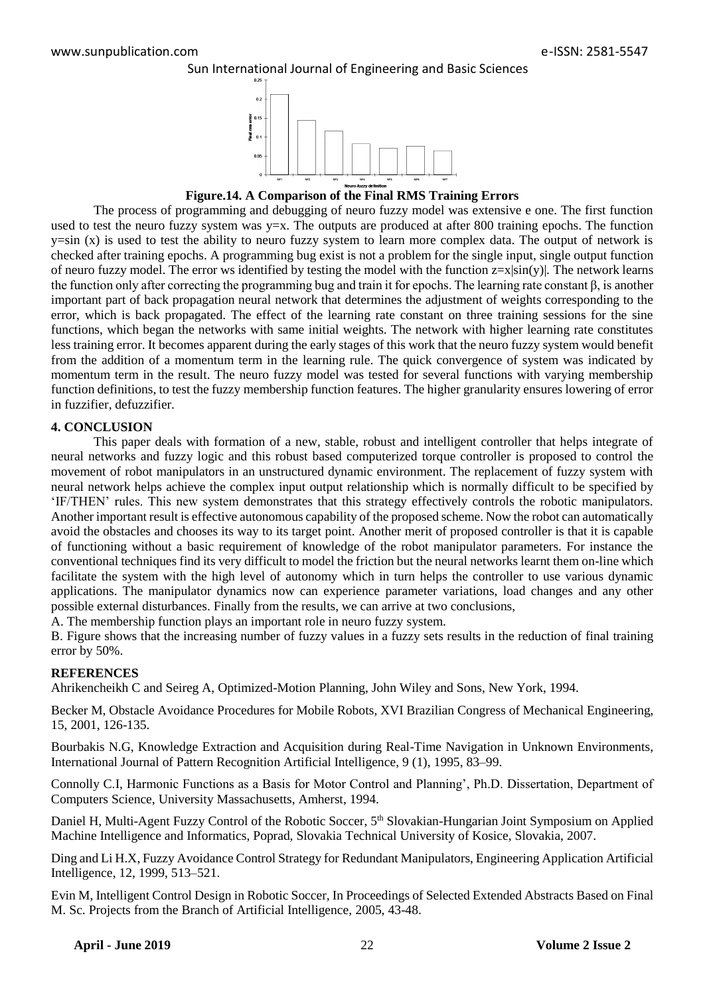



**Figure.14. A Comparison of the Final RMS Training Errors**

The process of programming and debugging of neuro fuzzy model was extensive e one. The first function used to test the neuro fuzzy system was  $y=x$ . The outputs are produced at after 800 training epochs. The function  $y=sin(x)$  is used to test the ability to neuro fuzzy system to learn more complex data. The output of network is checked after training epochs. A programming bug exist is not a problem for the single input, single output function of neuro fuzzy model. The error ws identified by testing the model with the function  $z=x|\sin(y)|$ . The network learns the function only after correcting the programming bug and train it for epochs. The learning rate constant β, is another important part of back propagation neural network that determines the adjustment of weights corresponding to the error, which is back propagated. The effect of the learning rate constant on three training sessions for the sine functions, which began the networks with same initial weights. The network with higher learning rate constitutes less training error. It becomes apparent during the early stages of this work that the neuro fuzzy system would benefit from the addition of a momentum term in the learning rule. The quick convergence of system was indicated by momentum term in the result. The neuro fuzzy model was tested for several functions with varying membership function definitions, to test the fuzzy membership function features. The higher granularity ensures lowering of error in fuzzifier, defuzzifier.

# **4. CONCLUSION**

This paper deals with formation of a new, stable, robust and intelligent controller that helps integrate of neural networks and fuzzy logic and this robust based computerized torque controller is proposed to control the movement of robot manipulators in an unstructured dynamic environment. The replacement of fuzzy system with neural network helps achieve the complex input output relationship which is normally difficult to be specified by 'IF/THEN' rules. This new system demonstrates that this strategy effectively controls the robotic manipulators. Another important result is effective autonomous capability of the proposed scheme. Now the robot can automatically avoid the obstacles and chooses its way to its target point. Another merit of proposed controller is that it is capable of functioning without a basic requirement of knowledge of the robot manipulator parameters. For instance the conventional techniques find its very difficult to model the friction but the neural networks learnt them on-line which facilitate the system with the high level of autonomy which in turn helps the controller to use various dynamic applications. The manipulator dynamics now can experience parameter variations, load changes and any other possible external disturbances. Finally from the results, we can arrive at two conclusions,

A. The membership function plays an important role in neuro fuzzy system.

B. Figure shows that the increasing number of fuzzy values in a fuzzy sets results in the reduction of final training error by 50%.

## **REFERENCES**

Ahrikencheikh C and Seireg A, Optimized-Motion Planning, John Wiley and Sons, New York, 1994.

Becker M, Obstacle Avoidance Procedures for Mobile Robots, XVI Brazilian Congress of Mechanical Engineering, 15, 2001, 126-135.

Bourbakis N.G, Knowledge Extraction and Acquisition during Real-Time Navigation in Unknown Environments, International Journal of Pattern Recognition Artificial Intelligence, 9 (1), 1995, 83–99.

Connolly C.I, Harmonic Functions as a Basis for Motor Control and Planning', Ph.D. Dissertation, Department of Computers Science, University Massachusetts, Amherst, 1994.

Daniel H, Multi-Agent Fuzzy Control of the Robotic Soccer, 5<sup>th</sup> Slovakian-Hungarian Joint Symposium on Applied Machine Intelligence and Informatics, Poprad, Slovakia Technical University of Kosice, Slovakia, 2007.

Ding and Li H.X, Fuzzy Avoidance Control Strategy for Redundant Manipulators, Engineering Application Artificial Intelligence, 12, 1999, 513–521.

Evin M, Intelligent Control Design in Robotic Soccer, In Proceedings of Selected Extended Abstracts Based on Final M. Sc. Projects from the Branch of Artificial Intelligence, 2005, 43-48.